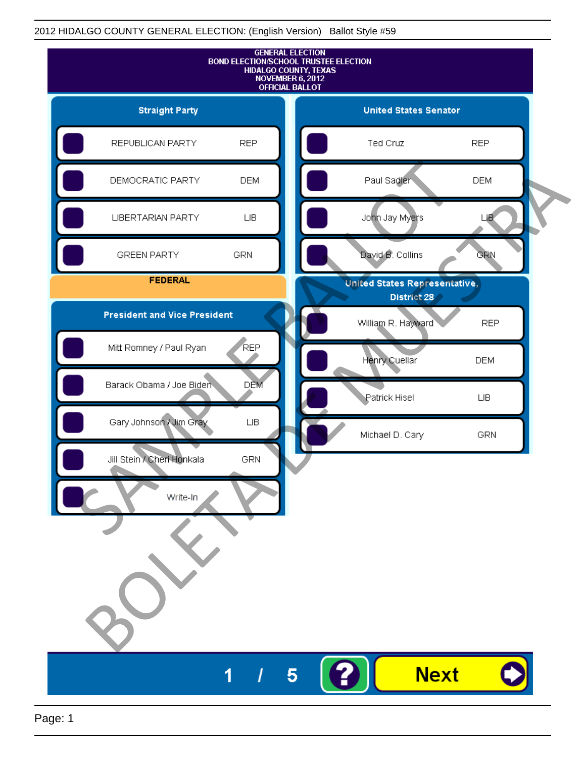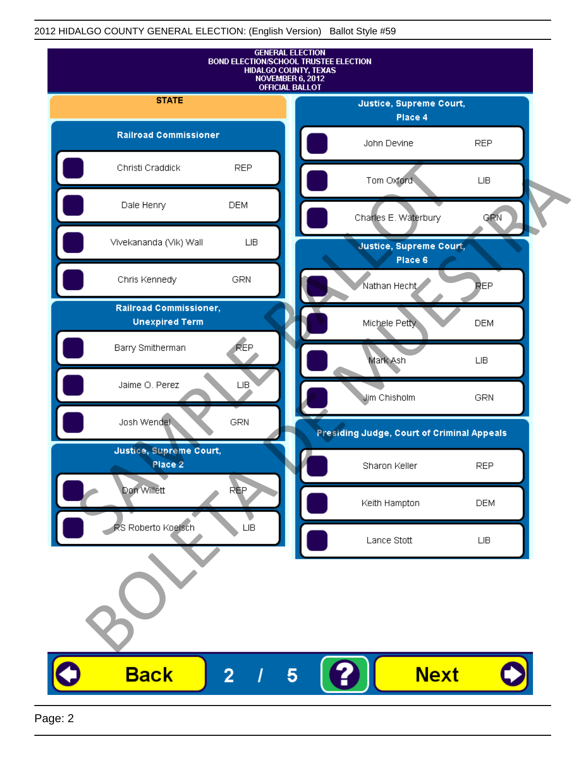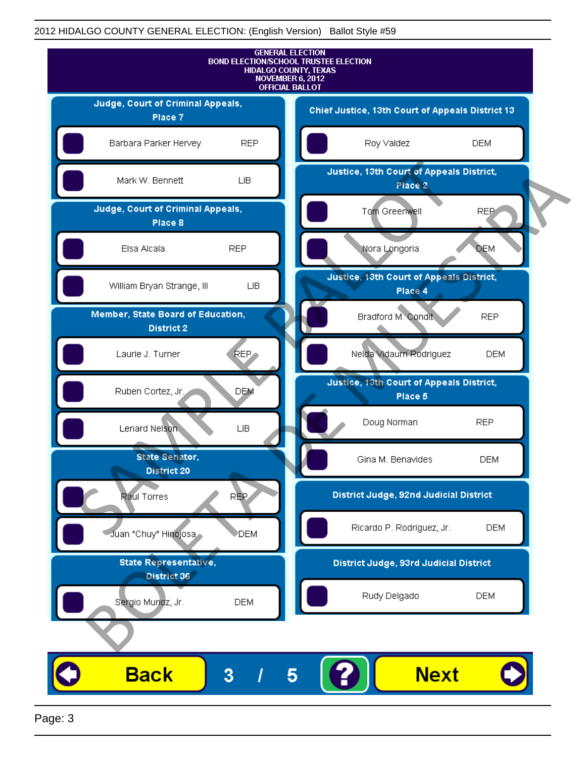

Page: 3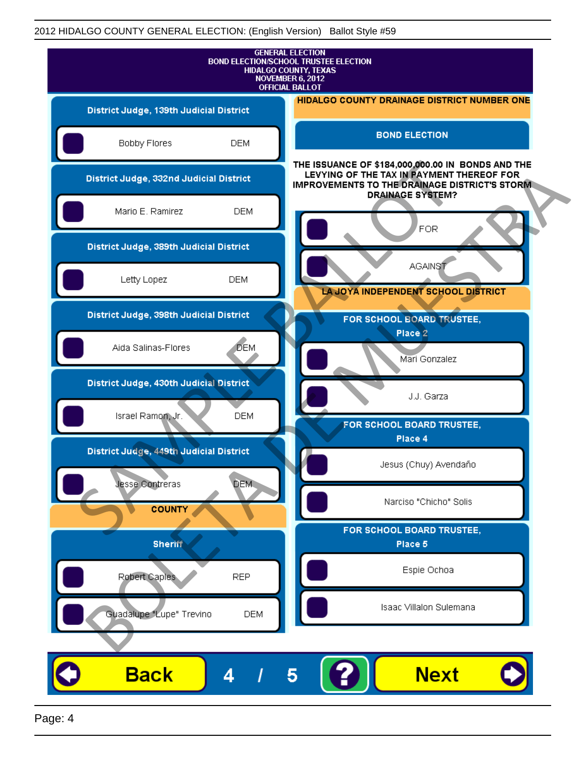| <b>GENERAL ELECTION</b><br><b>BOND ELECTION/SCHOOL TRUSTEE ELECTION</b><br><b>HIDALGO COUNTY, TEXAS</b><br><b>NOVEMBER 6, 2012</b><br><b>OFFICIAL BALLOT</b> |                                                                                                                                                                                    |
|--------------------------------------------------------------------------------------------------------------------------------------------------------------|------------------------------------------------------------------------------------------------------------------------------------------------------------------------------------|
| District Judge, 139th Judicial District                                                                                                                      | HIDALGO COUNTY DRAINAGE DISTRICT NUMBER ONE                                                                                                                                        |
| Bobby Flores<br><b>DEM</b>                                                                                                                                   | <b>BOND ELECTION</b>                                                                                                                                                               |
| District Judge, 332nd Judicial District                                                                                                                      | THE ISSUANCE OF \$184,000,000.00 IN BONDS AND THE<br>LEVYING OF THE TAX IN PAYMENT THEREOF FOR<br><b>IMPROVEMENTS TO THE DRAINAGE DISTRICT'S STORM.</b><br><b>DRAINAGE SYSTEM?</b> |
| Mario E. Ramirez<br><b>DEM</b>                                                                                                                               | FOR                                                                                                                                                                                |
| District Judge, 389th Judicial District                                                                                                                      |                                                                                                                                                                                    |
| Letty Lopez<br><b>DEM</b>                                                                                                                                    | <b>AGAINST</b><br>LA JOYA INDEPENDENT SCHOOL DISTRICT                                                                                                                              |
| District Judge, 398th Judicial District                                                                                                                      | FOR SCHOOL BOARD TRUSTEE,                                                                                                                                                          |
| <b>DEM</b><br>Aida Salinas-Flores                                                                                                                            | Place 2<br>Mari Gonzalez                                                                                                                                                           |
| District Judge, 430th Judicial District                                                                                                                      | J.J. Garza                                                                                                                                                                         |
| Israel Ramon, Jr.<br><b>DEM</b>                                                                                                                              | FOR SCHOOL BOARD TRUSTEE,                                                                                                                                                          |
| District Judge, 449th Judicial District                                                                                                                      | Place 4                                                                                                                                                                            |
| Jesse Contreras<br><b>DEM</b>                                                                                                                                | Jesus (Chuy) Avendaño                                                                                                                                                              |
| <b>COUNTY</b>                                                                                                                                                | Narciso "Chicho" Solis                                                                                                                                                             |
| <b>Sheriff</b>                                                                                                                                               | FOR SCHOOL BOARD TRUSTEE,<br>Place 5                                                                                                                                               |
| Robert Caples<br><b>REP</b>                                                                                                                                  | Espie Ochoa                                                                                                                                                                        |
| Guadalupe "Lupe" Trevino                                                                                                                                     | Isaac Villalon Sulemana<br><b>DEM</b>                                                                                                                                              |
|                                                                                                                                                              |                                                                                                                                                                                    |
| <b>Back</b><br>4                                                                                                                                             | <b>Next</b><br>5                                                                                                                                                                   |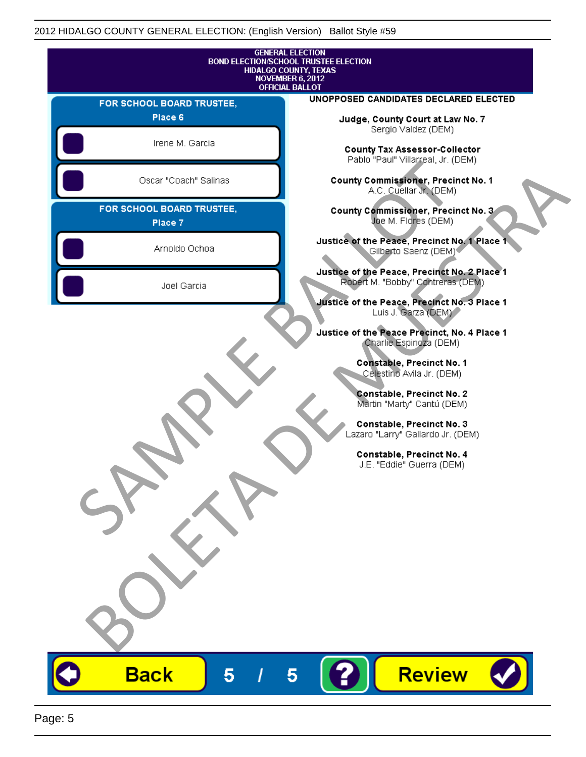|                                      | <b>GENERAL ELECTION</b><br><b>BOND ELECTION/SCHOOL TRUSTEE ELECTION</b><br><b>HIDALGO COUNTY, TEXAS</b> |
|--------------------------------------|---------------------------------------------------------------------------------------------------------|
|                                      | <b>NOVEMBER 6, 2012</b><br><b>OFFICIAL BALLOT</b>                                                       |
| FOR SCHOOL BOARD TRUSTEE,            | UNOPPOSED CANDIDATES DECLARED ELECTED                                                                   |
| Place 6                              | Judge, County Court at Law No. 7                                                                        |
| Irene M. Garcia                      | Sergio Valdez (DEM)<br><b>County Tax Assessor-Collector</b><br>Pablo "Paul" Villarreal, Jr. (DEM)       |
| Oscar "Coach" Salinas                | <b>County Commissioner, Precinct No. 1</b><br>A.C. Cuellar Jr. (DEM)                                    |
| FOR SCHOOL BOARD TRUSTEE,<br>Place 7 | County Commissioner, Precinct No. 3<br>Joe M. Flores (DEM)                                              |
| Arnoldo Ochoa                        | Justice of the Peace, Precinct No. 1 Place 1<br>Gilberto Saenz (DEM)                                    |
| Joel Garcia                          | Justice of the Peace, Precinct No. 2 Place 1<br>Robert M. "Bobby" Contreras (DEM)                       |
|                                      | Justice of the Peace, Precinct No. 3 Place 1<br>Luis J. Garza (DEM)                                     |
|                                      | Justice of the Peace Precinct, No. 4 Place 1<br>Charlie Espinoza (DEM)                                  |
|                                      | Constable, Precinct No. 1<br>Celestino Avila Jr. (DEM)                                                  |
|                                      | Constable, Precinct No. 2<br>Martin "Marty" Cantú (DEM)                                                 |
|                                      | Constable, Precinct No. 3<br>Lazaro "Larry" Gallardo Jr. (DEM)                                          |
|                                      | Constable, Precinct No. 4<br>J.E. "Eddie" Guerra (DEM)                                                  |
|                                      |                                                                                                         |
|                                      |                                                                                                         |
|                                      |                                                                                                         |
|                                      |                                                                                                         |
|                                      |                                                                                                         |
|                                      |                                                                                                         |
| <b>Back</b><br>5                     | <b>Review</b><br>5                                                                                      |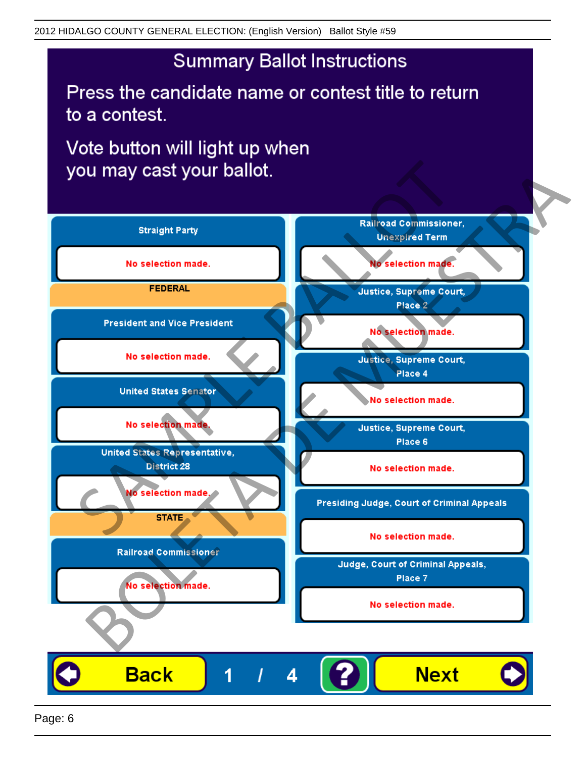Press the candidate name or contest title to return to a contest.

Vote button will light up when

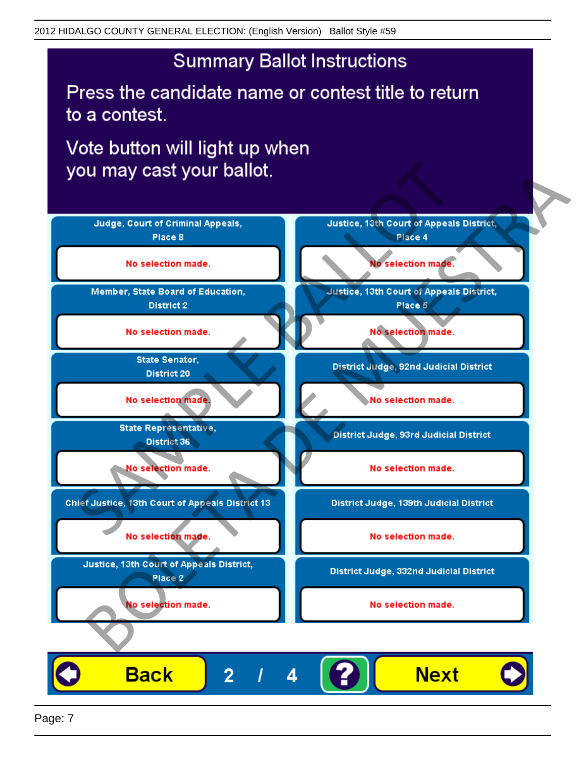Press the candidate name or contest title to return to a contest.

Vote button will light up when

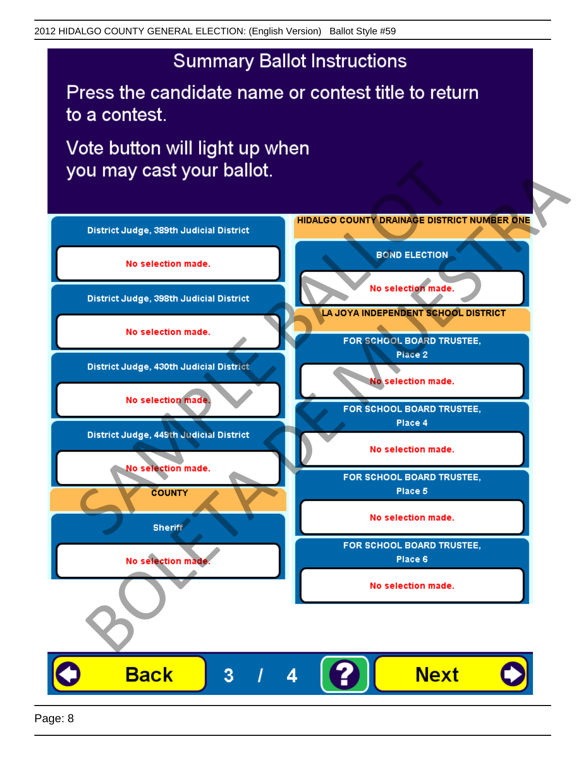Press the candidate name or contest title to return to a contest.

Vote button will light up when



Page: 8